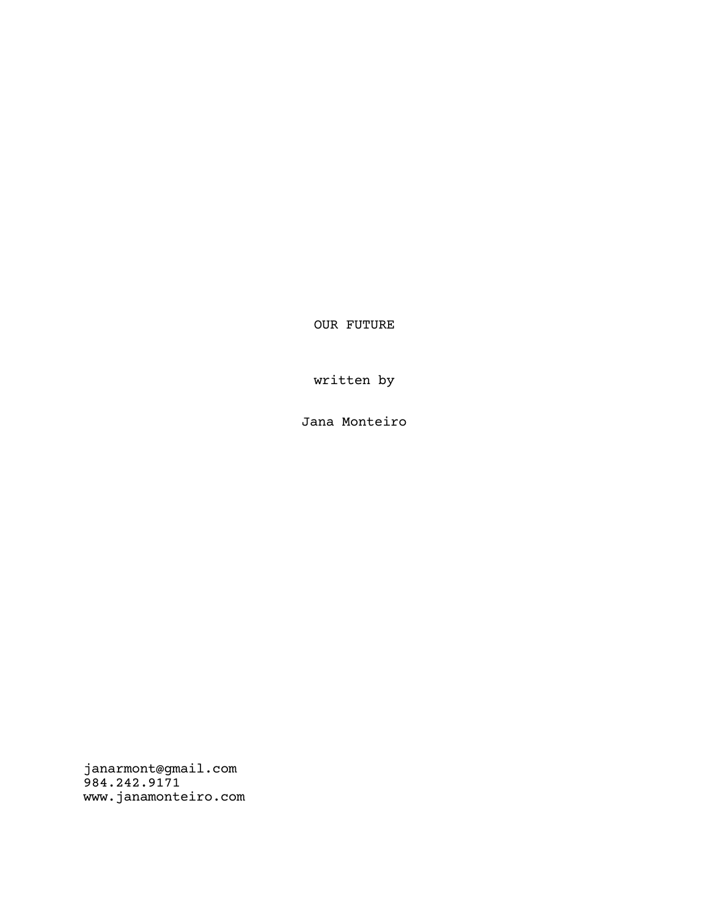OUR FUTURE

written by

Jana Monteiro

janarmont@gmail.com 984.242.9171 www.janamonteiro.com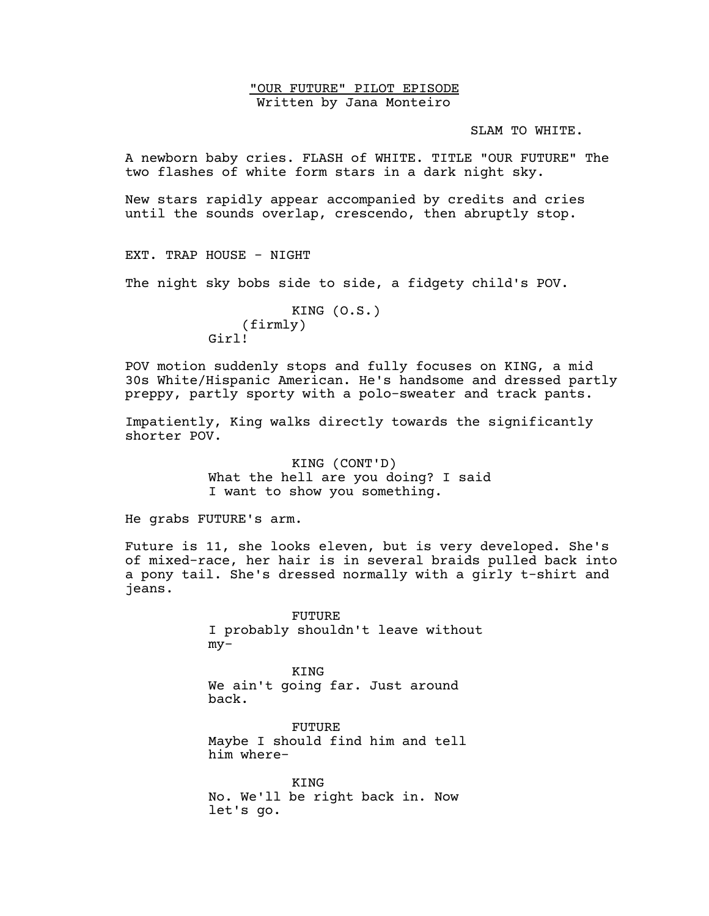"OUR FUTURE" PILOT EPISODE Written by Jana Monteiro

SLAM TO WHITE.

A newborn baby cries. FLASH of WHITE. TITLE "OUR FUTURE" The two flashes of white form stars in a dark night sky.

New stars rapidly appear accompanied by credits and cries until the sounds overlap, crescendo, then abruptly stop.

EXT. TRAP HOUSE - NIGHT

The night sky bobs side to side, a fidgety child's POV.

# KING (O.S.) (firmly) Girl!

POV motion suddenly stops and fully focuses on KING, a mid 30s White/Hispanic American. He's handsome and dressed partly preppy, partly sporty with a polo-sweater and track pants.

Impatiently, King walks directly towards the significantly shorter POV.

> KING (CONT'D) What the hell are you doing? I said I want to show you something.

He grabs FUTURE's arm.

Future is 11, she looks eleven, but is very developed. She's of mixed-race, her hair is in several braids pulled back into a pony tail. She's dressed normally with a girly t-shirt and jeans.

> FUTURE I probably shouldn't leave without my-

KING We ain't going far. Just around back.

FUTURE Maybe I should find him and tell him where-

KING No. We'll be right back in. Now let's go.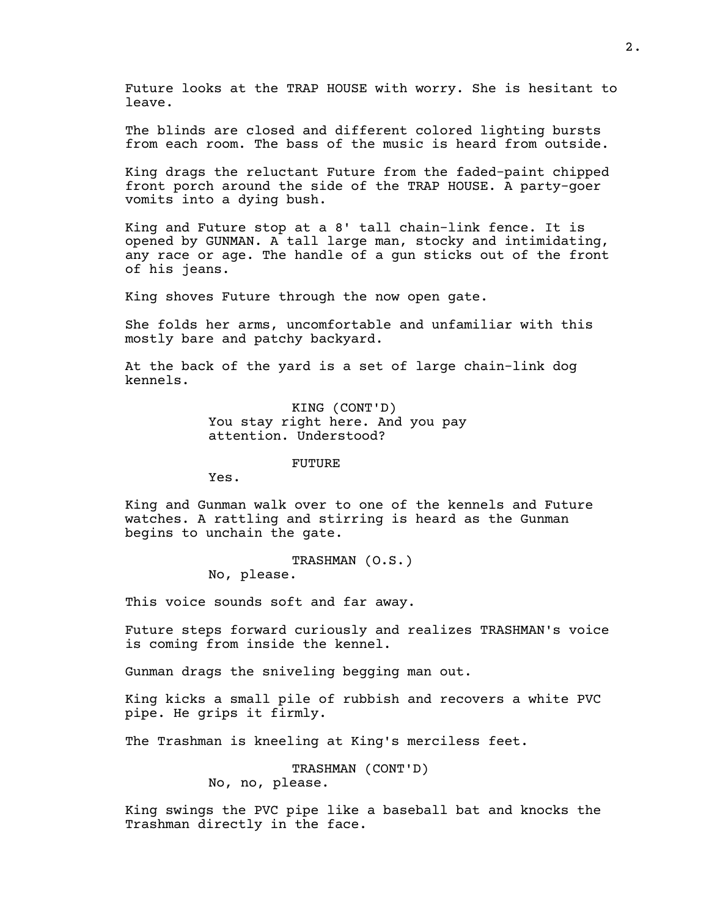Future looks at the TRAP HOUSE with worry. She is hesitant to leave.

The blinds are closed and different colored lighting bursts from each room. The bass of the music is heard from outside.

King drags the reluctant Future from the faded-paint chipped front porch around the side of the TRAP HOUSE. A party-goer vomits into a dying bush.

King and Future stop at a 8' tall chain-link fence. It is opened by GUNMAN. A tall large man, stocky and intimidating, any race or age. The handle of a gun sticks out of the front of his jeans.

King shoves Future through the now open gate.

She folds her arms, uncomfortable and unfamiliar with this mostly bare and patchy backyard.

At the back of the yard is a set of large chain-link dog kennels.

> KING (CONT'D) You stay right here. And you pay attention. Understood?

> > FUTURE

Yes.

King and Gunman walk over to one of the kennels and Future watches. A rattling and stirring is heard as the Gunman begins to unchain the gate.

> TRASHMAN (O.S.) No, please.

This voice sounds soft and far away.

Future steps forward curiously and realizes TRASHMAN's voice is coming from inside the kennel.

Gunman drags the sniveling begging man out.

King kicks a small pile of rubbish and recovers a white PVC pipe. He grips it firmly.

The Trashman is kneeling at King's merciless feet.

TRASHMAN (CONT'D) No, no, please.

King swings the PVC pipe like a baseball bat and knocks the Trashman directly in the face.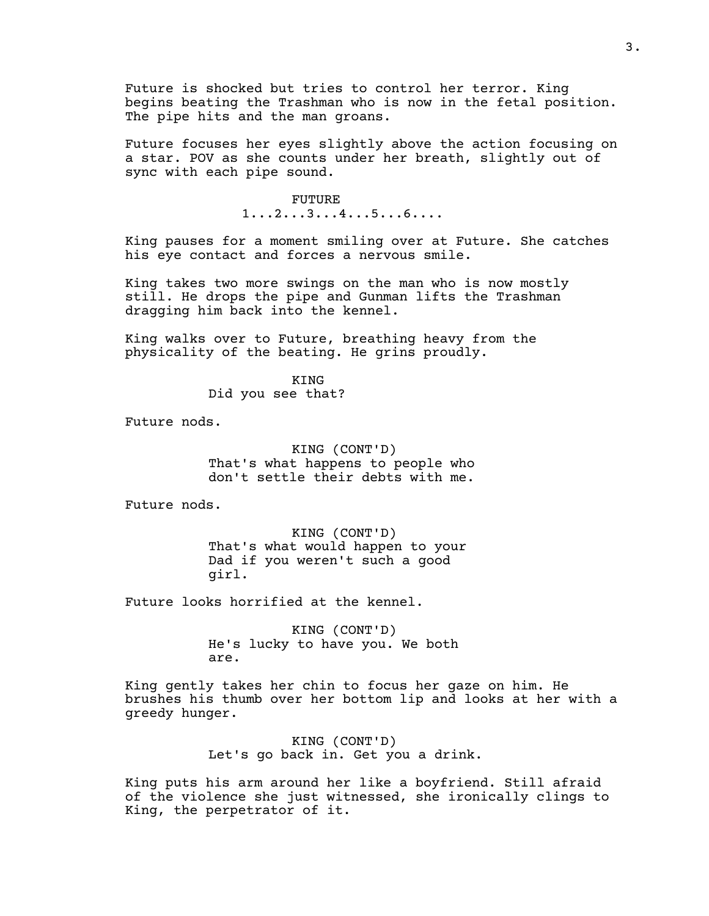Future is shocked but tries to control her terror. King begins beating the Trashman who is now in the fetal position. The pipe hits and the man groans.

Future focuses her eyes slightly above the action focusing on a star. POV as she counts under her breath, slightly out of sync with each pipe sound.

### FUTURE

1...2...3...4...5...6....

King pauses for a moment smiling over at Future. She catches his eye contact and forces a nervous smile.

King takes two more swings on the man who is now mostly still. He drops the pipe and Gunman lifts the Trashman dragging him back into the kennel.

King walks over to Future, breathing heavy from the physicality of the beating. He grins proudly.

> KING Did you see that?

Future nods.

KING (CONT'D) That's what happens to people who don't settle their debts with me.

Future nods.

KING (CONT'D) That's what would happen to your Dad if you weren't such a good girl.

Future looks horrified at the kennel.

KING (CONT'D) He's lucky to have you. We both are.

King gently takes her chin to focus her gaze on him. He brushes his thumb over her bottom lip and looks at her with a greedy hunger.

> KING (CONT'D) Let's go back in. Get you a drink.

King puts his arm around her like a boyfriend. Still afraid of the violence she just witnessed, she ironically clings to King, the perpetrator of it.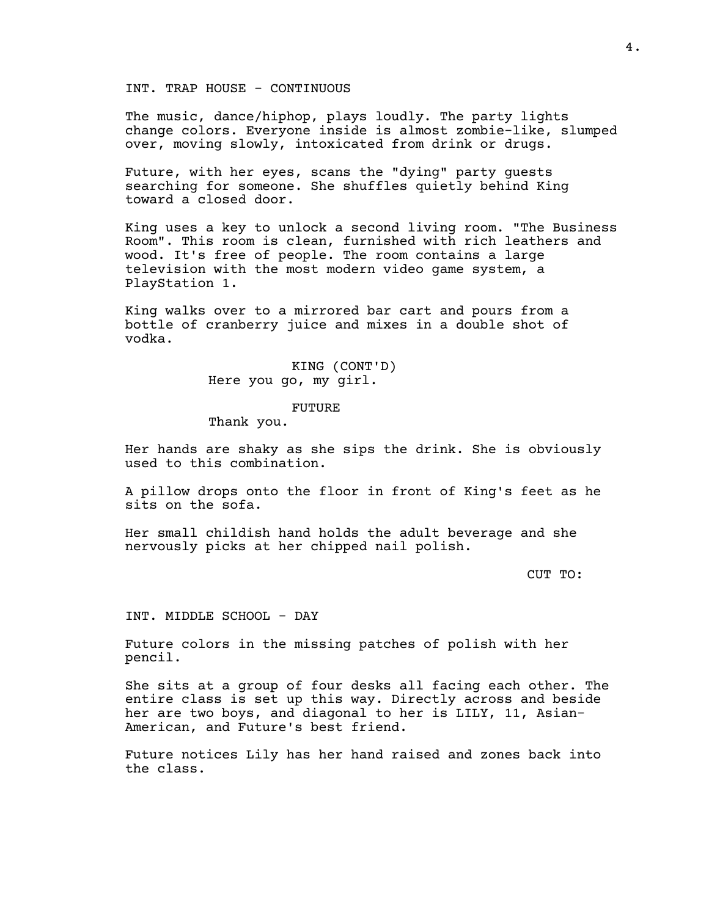INT. TRAP HOUSE - CONTINUOUS

The music, dance/hiphop, plays loudly. The party lights change colors. Everyone inside is almost zombie-like, slumped over, moving slowly, intoxicated from drink or drugs.

Future, with her eyes, scans the "dying" party guests searching for someone. She shuffles quietly behind King toward a closed door.

King uses a key to unlock a second living room. "The Business Room". This room is clean, furnished with rich leathers and wood. It's free of people. The room contains a large television with the most modern video game system, a PlayStation 1.

King walks over to a mirrored bar cart and pours from a bottle of cranberry juice and mixes in a double shot of vodka.

> KING (CONT'D) Here you go, my girl.

#### FUTURE

Thank you.

Her hands are shaky as she sips the drink. She is obviously used to this combination.

A pillow drops onto the floor in front of King's feet as he sits on the sofa.

Her small childish hand holds the adult beverage and she nervously picks at her chipped nail polish.

CUT TO:

INT. MIDDLE SCHOOL - DAY

Future colors in the missing patches of polish with her pencil.

She sits at a group of four desks all facing each other. The entire class is set up this way. Directly across and beside her are two boys, and diagonal to her is LILY, 11, Asian-American, and Future's best friend.

Future notices Lily has her hand raised and zones back into the class.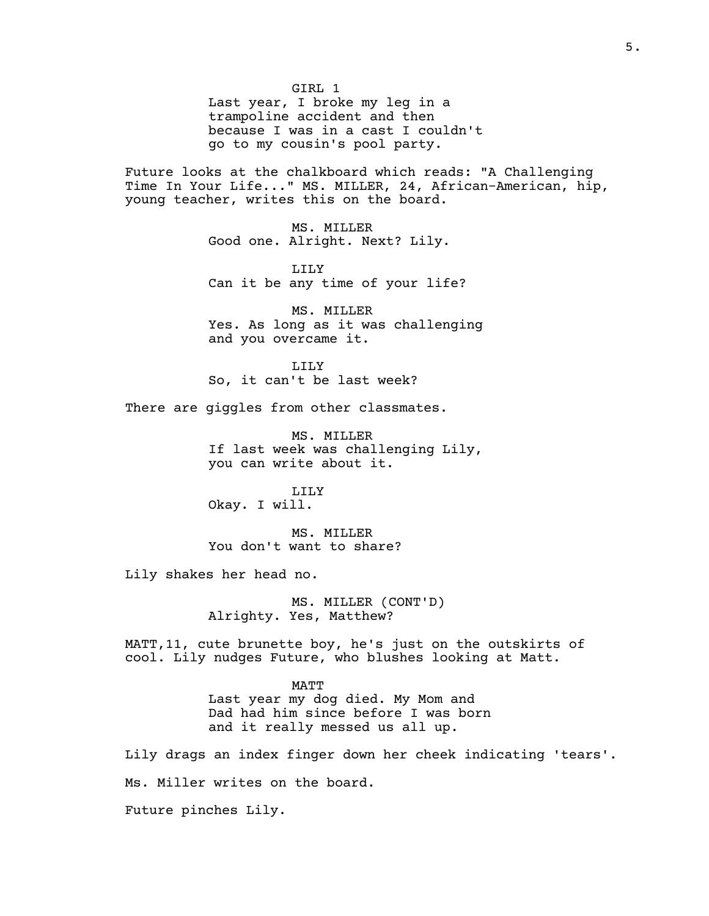GIRL 1 Last year, I broke my leg in a trampoline accident and then because I was in a cast I couldn't go to my cousin's pool party.

Future looks at the chalkboard which reads: "A Challenging Time In Your Life..." MS. MILLER, 24, African-American, hip, young teacher, writes this on the board.

> MS. MILLER Good one. Alright. Next? Lily.

LILY Can it be any time of your life?

MS. MILLER Yes. As long as it was challenging and you overcame it.

LILY So, it can't be last week?

There are giggles from other classmates.

MS. MILLER If last week was challenging Lily, you can write about it.

LILY Okay. I will.

MS. MILLER You don't want to share?

Lily shakes her head no.

MS. MILLER (CONT'D) Alrighty. Yes, Matthew?

MATT,11, cute brunette boy, he's just on the outskirts of cool. Lily nudges Future, who blushes looking at Matt.

> MATT Last year my dog died. My Mom and Dad had him since before I was born and it really messed us all up.

Lily drags an index finger down her cheek indicating 'tears'. Ms. Miller writes on the board. Future pinches Lily.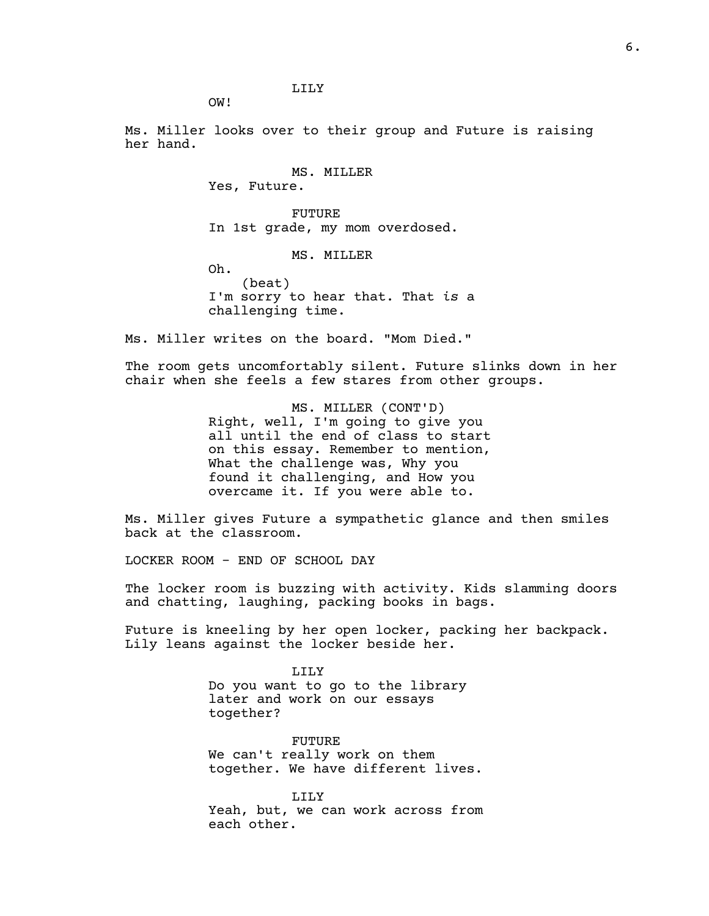LILY

OW!

Ms. Miller looks over to their group and Future is raising her hand.

> MS. MILLER Yes, Future. FUTURE In 1st grade, my mom overdosed. MS. MILLER Oh. (beat) I'm sorry to hear that. That *is* a challenging time.

Ms. Miller writes on the board. "Mom Died."

The room gets uncomfortably silent. Future slinks down in her chair when she feels a few stares from other groups.

> MS. MILLER (CONT'D) Right, well, I'm going to give you all until the end of class to start on this essay. Remember to mention, What the challenge was, Why you found it challenging, and How you overcame it. If you were able to.

Ms. Miller gives Future a sympathetic glance and then smiles back at the classroom.

LOCKER ROOM - END OF SCHOOL DAY

The locker room is buzzing with activity. Kids slamming doors and chatting, laughing, packing books in bags.

Future is kneeling by her open locker, packing her backpack. Lily leans against the locker beside her.

> LILY Do you want to go to the library later and work on our essays together?

FUTURE We can't really work on them together. We have different lives.

LILY Yeah, but, we can work across from each other.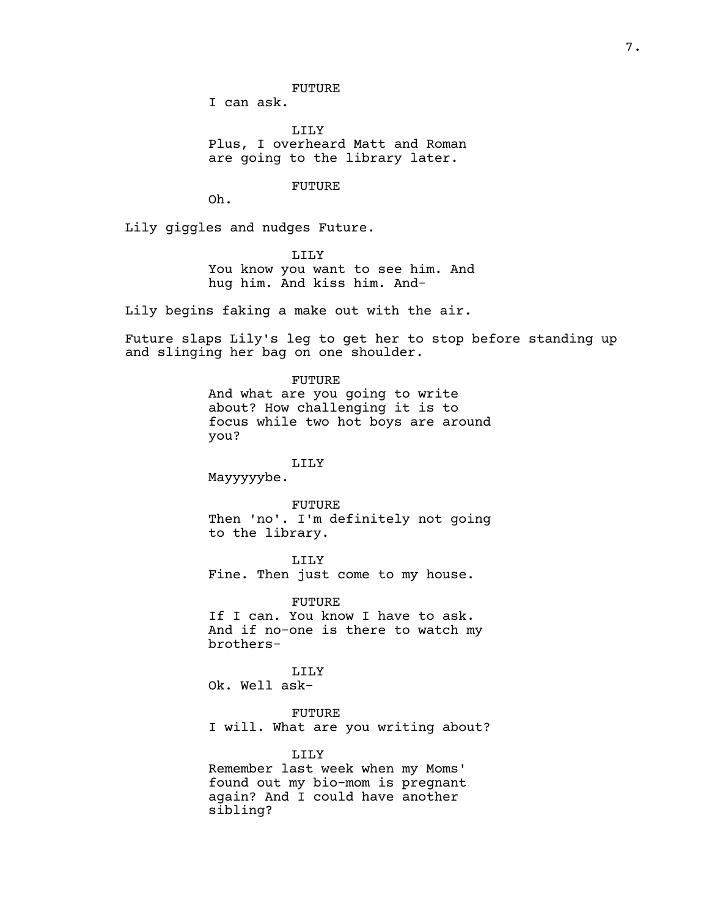FUTURE

I can ask.

LILY Plus, I overheard Matt and Roman are going to the library later.

FUTURE

Oh.

Lily giggles and nudges Future.

LILY You know you want to see him. And hug him. And kiss him. And-

Lily begins faking a make out with the air.

Future slaps Lily's leg to get her to stop before standing up and slinging her bag on one shoulder.

FUTURE

And what are you going to write about? How challenging it is to focus while two hot boys are around you?

#### LILY

Mayyyyybe.

#### FUTURE

Then 'no'. I'm definitely not going to the library.

LILY Fine. Then just come to my house.

FUTURE If I can. You know I have to ask. And if no-one is there to watch my brothers-

LILY

Ok. Well ask-

FUTURE I will. What are you writing about?

LILY Remember last week when my Moms' found out my bio-mom is pregnant again? And I could have another sibling?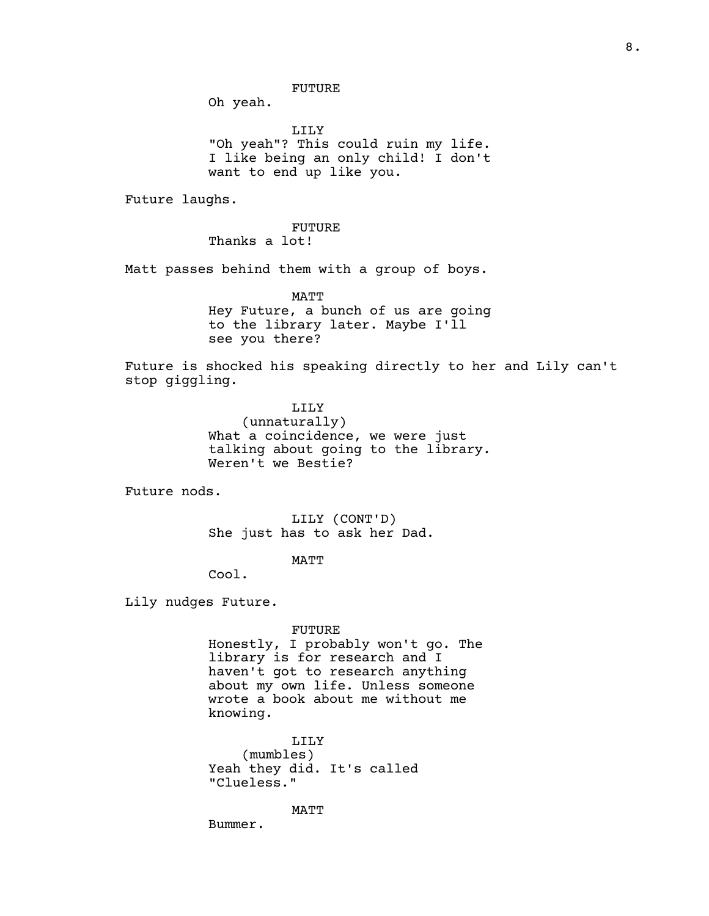Oh yeah.

LILY "Oh yeah"? This could ruin my life. I like being an only child! I don't want to end up like you.

Future laughs.

FUTURE Thanks a lot!

Matt passes behind them with a group of boys.

MATT Hey Future, a bunch of us are going to the library later. Maybe I'll see you there?

Future is shocked his speaking directly to her and Lily can't stop giggling.

> LILY (unnaturally) What a coincidence, we were just talking about going to the library. Weren't we Bestie?

Future nods.

LILY (CONT'D) She just has to ask her Dad.

MATT

Cool.

Lily nudges Future.

#### FUTURE

Honestly, I probably won't go. The library is for research and I haven't got to research anything about my own life. Unless someone wrote a book about me without me knowing.

LILY (mumbles) Yeah they did. It's called "Clueless."

MATT

Bummer.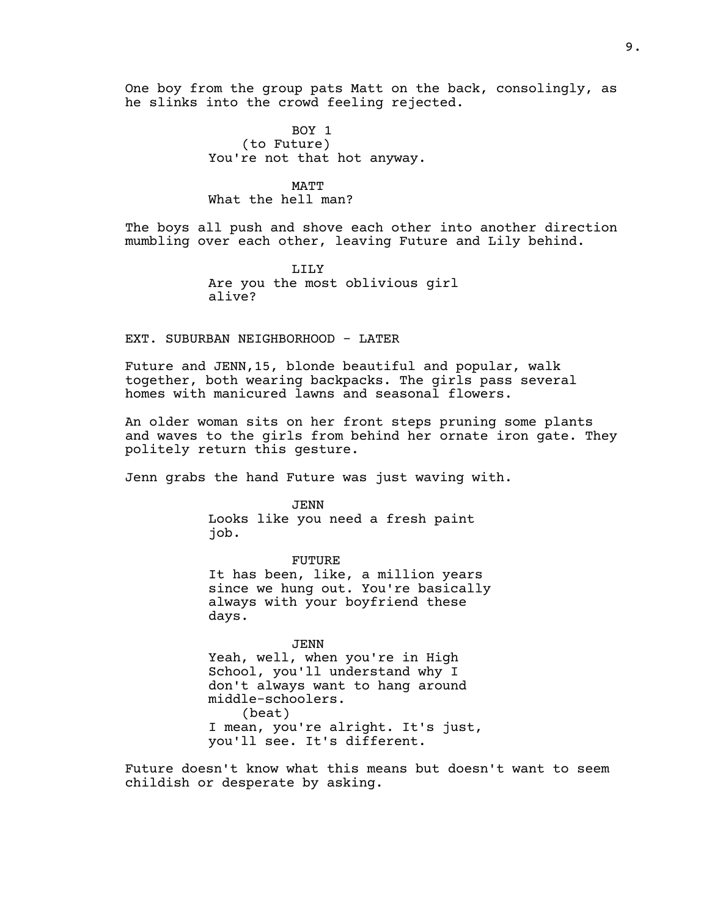One boy from the group pats Matt on the back, consolingly, as he slinks into the crowd feeling rejected.

> BOY 1 (to Future) You're not that hot anyway.

## MATT What the hell man?

The boys all push and shove each other into another direction mumbling over each other, leaving Future and Lily behind.

> LILY Are you the most oblivious girl alive?

EXT. SUBURBAN NEIGHBORHOOD - LATER

Future and JENN,15, blonde beautiful and popular, walk together, both wearing backpacks. The girls pass several homes with manicured lawns and seasonal flowers.

An older woman sits on her front steps pruning some plants and waves to the girls from behind her ornate iron gate. They politely return this gesture.

Jenn grabs the hand Future was just waving with.

JENN Looks like you need a fresh paint job.

FUTURE It has been, like, a million years since we hung out. You're basically always with your boyfriend these days.

JENN Yeah, well, when you're in High School, you'll understand why I don't always want to hang around middle-schoolers. (beat) I mean, you're alright. It's just, you'll see. It's different.

Future doesn't know what this means but doesn't want to seem childish or desperate by asking.